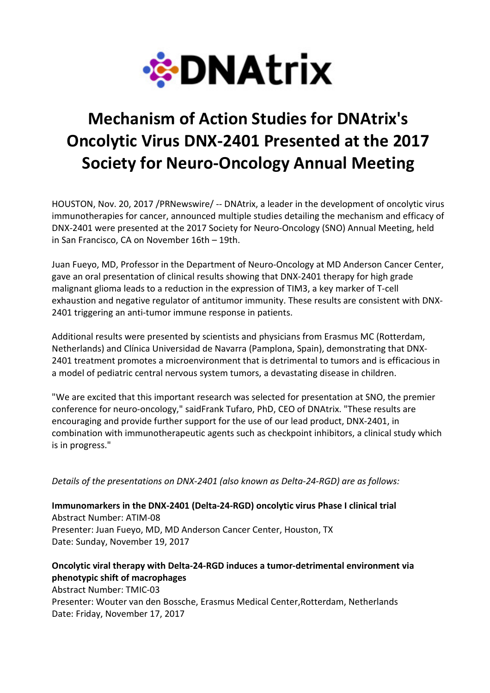

# Mechanism of Action Studies for DNAtrix's Oncolytic Virus DNX-2401 Presented at the 2017 Society for Neuro-Oncology Annual Meeting

HOUSTON, Nov. 20, 2017 /PRNewswire/ -- DNAtrix, a leader in the development of oncolytic virus immunotherapies for cancer, announced multiple studies detailing the mechanism and efficacy of DNX-2401 were presented at the 2017 Society for Neuro-Oncology (SNO) Annual Meeting, held in San Francisco, CA on November 16th – 19th.

Juan Fueyo, MD, Professor in the Department of Neuro-Oncology at MD Anderson Cancer Center, gave an oral presentation of clinical results showing that DNX-2401 therapy for high grade malignant glioma leads to a reduction in the expression of TIM3, a key marker of T-cell exhaustion and negative regulator of antitumor immunity. These results are consistent with DNX-2401 triggering an anti-tumor immune response in patients.

Additional results were presented by scientists and physicians from Erasmus MC (Rotterdam, Netherlands) and Clínica Universidad de Navarra (Pamplona, Spain), demonstrating that DNX-2401 treatment promotes a microenvironment that is detrimental to tumors and is efficacious in a model of pediatric central nervous system tumors, a devastating disease in children.

"We are excited that this important research was selected for presentation at SNO, the premier conference for neuro-oncology," saidFrank Tufaro, PhD, CEO of DNAtrix. "These results are encouraging and provide further support for the use of our lead product, DNX-2401, in combination with immunotherapeutic agents such as checkpoint inhibitors, a clinical study which is in progress."

Details of the presentations on DNX-2401 (also known as Delta-24-RGD) are as follows:

Immunomarkers in the DNX-2401 (Delta-24-RGD) oncolytic virus Phase I clinical trial Abstract Number: ATIM-08 Presenter: Juan Fueyo, MD, MD Anderson Cancer Center, Houston, TX Date: Sunday, November 19, 2017

## Oncolytic viral therapy with Delta-24-RGD induces a tumor-detrimental environment via phenotypic shift of macrophages

Abstract Number: TMIC-03 Presenter: Wouter van den Bossche, Erasmus Medical Center,Rotterdam, Netherlands Date: Friday, November 17, 2017